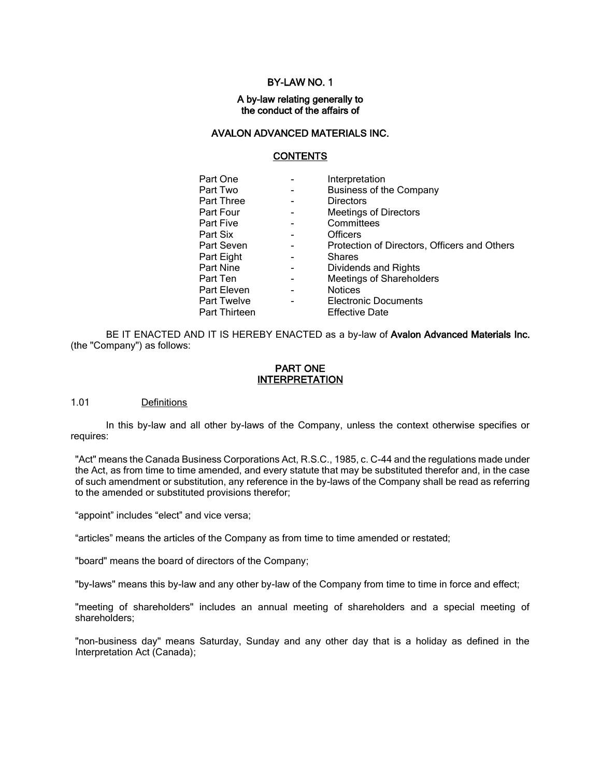## BY-LAW NO. 1

#### A by-law relating generally to the conduct of the affairs of

## AVALON ADVANCED MATERIALS INC.

# **CONTENTS**

| Part One      | Interpretation                               |
|---------------|----------------------------------------------|
| Part Two      | <b>Business of the Company</b>               |
| Part Three    | <b>Directors</b>                             |
| Part Four     | <b>Meetings of Directors</b>                 |
| Part Five     | Committees                                   |
| Part Six      | <b>Officers</b>                              |
| Part Seven    | Protection of Directors, Officers and Others |
| Part Eight    | <b>Shares</b>                                |
| Part Nine     | Dividends and Rights                         |
| Part Ten      | <b>Meetings of Shareholders</b>              |
| Part Eleven   | <b>Notices</b>                               |
| Part Twelve   | <b>Electronic Documents</b>                  |
| Part Thirteen | <b>Effective Date</b>                        |
|               |                                              |

BE IT ENACTED AND IT IS HEREBY ENACTED as a by-law of Avalon Advanced Materials Inc. (the "Company") as follows:

#### PART ONE INTERPRETATION

#### 1.01 Definitions

In this by-law and all other by-laws of the Company, unless the context otherwise specifies or requires:

"Act" means the Canada Business Corporations Act, R.S.C., 1985, c. C-44 and the regulations made under the Act, as from time to time amended, and every statute that may be substituted therefor and, in the case of such amendment or substitution, any reference in the by-laws of the Company shall be read as referring to the amended or substituted provisions therefor;

"appoint" includes "elect" and vice versa;

"articles" means the articles of the Company as from time to time amended or restated;

"board" means the board of directors of the Company;

"by-laws" means this by-law and any other by-law of the Company from time to time in force and effect;

"meeting of shareholders" includes an annual meeting of shareholders and a special meeting of shareholders;

"non-business day" means Saturday, Sunday and any other day that is a holiday as defined in the Interpretation Act (Canada);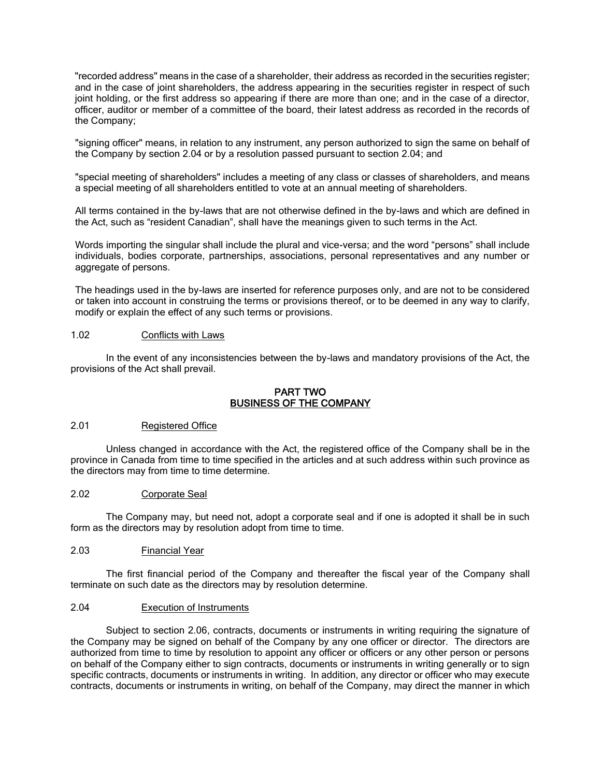"recorded address" means in the case of a shareholder, their address as recorded in the securities register; and in the case of joint shareholders, the address appearing in the securities register in respect of such joint holding, or the first address so appearing if there are more than one; and in the case of a director, officer, auditor or member of a committee of the board, their latest address as recorded in the records of the Company;

"signing officer" means, in relation to any instrument, any person authorized to sign the same on behalf of the Company by section [2.04](#page-1-0) or by a resolution passed pursuant to section [2.04;](#page-1-0) and

"special meeting of shareholders" includes a meeting of any class or classes of shareholders, and means a special meeting of all shareholders entitled to vote at an annual meeting of shareholders.

All terms contained in the by-laws that are not otherwise defined in the by-laws and which are defined in the Act, such as "resident Canadian", shall have the meanings given to such terms in the Act.

Words importing the singular shall include the plural and vice-versa; and the word "persons" shall include individuals, bodies corporate, partnerships, associations, personal representatives and any number or aggregate of persons.

The headings used in the by-laws are inserted for reference purposes only, and are not to be considered or taken into account in construing the terms or provisions thereof, or to be deemed in any way to clarify, modify or explain the effect of any such terms or provisions.

#### 1.02 Conflicts with Laws

In the event of any inconsistencies between the by-laws and mandatory provisions of the Act, the provisions of the Act shall prevail.

#### PART TWO BUSINESS OF THE COMPANY

#### 2.01 Registered Office

Unless changed in accordance with the Act, the registered office of the Company shall be in the province in Canada from time to time specified in the articles and at such address within such province as the directors may from time to time determine.

## 2.02 Corporate Seal

The Company may, but need not, adopt a corporate seal and if one is adopted it shall be in such form as the directors may by resolution adopt from time to time.

### 2.03 Financial Year

The first financial period of the Company and thereafter the fiscal year of the Company shall terminate on such date as the directors may by resolution determine.

### <span id="page-1-0"></span>2.04 Execution of Instruments

Subject to section [2.06,](#page-2-0) contracts, documents or instruments in writing requiring the signature of the Company may be signed on behalf of the Company by any one officer or director. The directors are authorized from time to time by resolution to appoint any officer or officers or any other person or persons on behalf of the Company either to sign contracts, documents or instruments in writing generally or to sign specific contracts, documents or instruments in writing. In addition, any director or officer who may execute contracts, documents or instruments in writing, on behalf of the Company, may direct the manner in which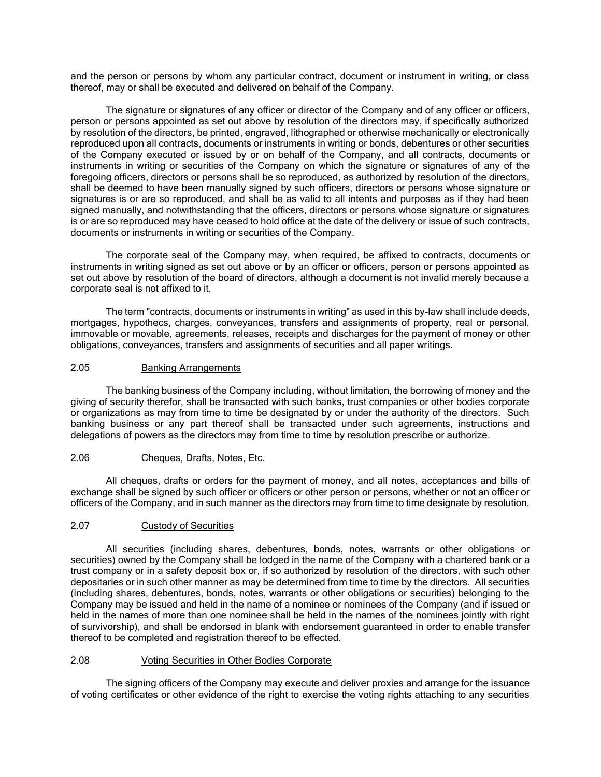and the person or persons by whom any particular contract, document or instrument in writing, or class thereof, may or shall be executed and delivered on behalf of the Company.

The signature or signatures of any officer or director of the Company and of any officer or officers, person or persons appointed as set out above by resolution of the directors may, if specifically authorized by resolution of the directors, be printed, engraved, lithographed or otherwise mechanically or electronically reproduced upon all contracts, documents or instruments in writing or bonds, debentures or other securities of the Company executed or issued by or on behalf of the Company, and all contracts, documents or instruments in writing or securities of the Company on which the signature or signatures of any of the foregoing officers, directors or persons shall be so reproduced, as authorized by resolution of the directors, shall be deemed to have been manually signed by such officers, directors or persons whose signature or signatures is or are so reproduced, and shall be as valid to all intents and purposes as if they had been signed manually, and notwithstanding that the officers, directors or persons whose signature or signatures is or are so reproduced may have ceased to hold office at the date of the delivery or issue of such contracts, documents or instruments in writing or securities of the Company.

The corporate seal of the Company may, when required, be affixed to contracts, documents or instruments in writing signed as set out above or by an officer or officers, person or persons appointed as set out above by resolution of the board of directors, although a document is not invalid merely because a corporate seal is not affixed to it.

The term "contracts, documents or instruments in writing" as used in this by-law shall include deeds, mortgages, hypothecs, charges, conveyances, transfers and assignments of property, real or personal, immovable or movable, agreements, releases, receipts and discharges for the payment of money or other obligations, conveyances, transfers and assignments of securities and all paper writings.

### 2.05 Banking Arrangements

The banking business of the Company including, without limitation, the borrowing of money and the giving of security therefor, shall be transacted with such banks, trust companies or other bodies corporate or organizations as may from time to time be designated by or under the authority of the directors. Such banking business or any part thereof shall be transacted under such agreements, instructions and delegations of powers as the directors may from time to time by resolution prescribe or authorize.

#### <span id="page-2-0"></span>2.06 Cheques, Drafts, Notes, Etc.

All cheques, drafts or orders for the payment of money, and all notes, acceptances and bills of exchange shall be signed by such officer or officers or other person or persons, whether or not an officer or officers of the Company, and in such manner as the directors may from time to time designate by resolution.

#### 2.07 Custody of Securities

All securities (including shares, debentures, bonds, notes, warrants or other obligations or securities) owned by the Company shall be lodged in the name of the Company with a chartered bank or a trust company or in a safety deposit box or, if so authorized by resolution of the directors, with such other depositaries or in such other manner as may be determined from time to time by the directors. All securities (including shares, debentures, bonds, notes, warrants or other obligations or securities) belonging to the Company may be issued and held in the name of a nominee or nominees of the Company (and if issued or held in the names of more than one nominee shall be held in the names of the nominees jointly with right of survivorship), and shall be endorsed in blank with endorsement guaranteed in order to enable transfer thereof to be completed and registration thereof to be effected.

#### 2.08 Voting Securities in Other Bodies Corporate

The signing officers of the Company may execute and deliver proxies and arrange for the issuance of voting certificates or other evidence of the right to exercise the voting rights attaching to any securities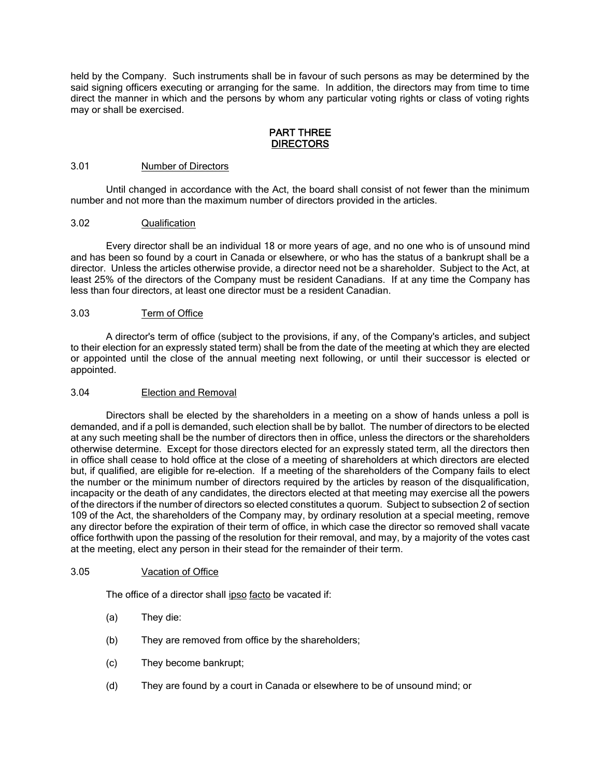held by the Company. Such instruments shall be in favour of such persons as may be determined by the said signing officers executing or arranging for the same. In addition, the directors may from time to time direct the manner in which and the persons by whom any particular voting rights or class of voting rights may or shall be exercised.

#### PART THREE **DIRECTORS**

#### 3.01 Number of Directors

Until changed in accordance with the Act, the board shall consist of not fewer than the minimum number and not more than the maximum number of directors provided in the articles.

### 3.02 Qualification

Every director shall be an individual 18 or more years of age, and no one who is of unsound mind and has been so found by a court in Canada or elsewhere, or who has the status of a bankrupt shall be a director. Unless the articles otherwise provide, a director need not be a shareholder. Subject to the Act, at least 25% of the directors of the Company must be resident Canadians. If at any time the Company has less than four directors, at least one director must be a resident Canadian.

### 3.03 Term of Office

A director's term of office (subject to the provisions, if any, of the Company's articles, and subject to their election for an expressly stated term) shall be from the date of the meeting at which they are elected or appointed until the close of the annual meeting next following, or until their successor is elected or appointed.

#### 3.04 Election and Removal

Directors shall be elected by the shareholders in a meeting on a show of hands unless a poll is demanded, and if a poll is demanded, such election shall be by ballot. The number of directors to be elected at any such meeting shall be the number of directors then in office, unless the directors or the shareholders otherwise determine. Except for those directors elected for an expressly stated term, all the directors then in office shall cease to hold office at the close of a meeting of shareholders at which directors are elected but, if qualified, are eligible for re-election. If a meeting of the shareholders of the Company fails to elect the number or the minimum number of directors required by the articles by reason of the disqualification, incapacity or the death of any candidates, the directors elected at that meeting may exercise all the powers of the directors if the number of directors so elected constitutes a quorum. Subject to subsection 2 of section 109 of the Act, the shareholders of the Company may, by ordinary resolution at a special meeting, remove any director before the expiration of their term of office, in which case the director so removed shall vacate office forthwith upon the passing of the resolution for their removal, and may, by a majority of the votes cast at the meeting, elect any person in their stead for the remainder of their term.

## 3.05 Vacation of Office

The office of a director shall ipso facto be vacated if:

- (a) They die:
- (b) They are removed from office by the shareholders;
- (c) They become bankrupt;
- (d) They are found by a court in Canada or elsewhere to be of unsound mind; or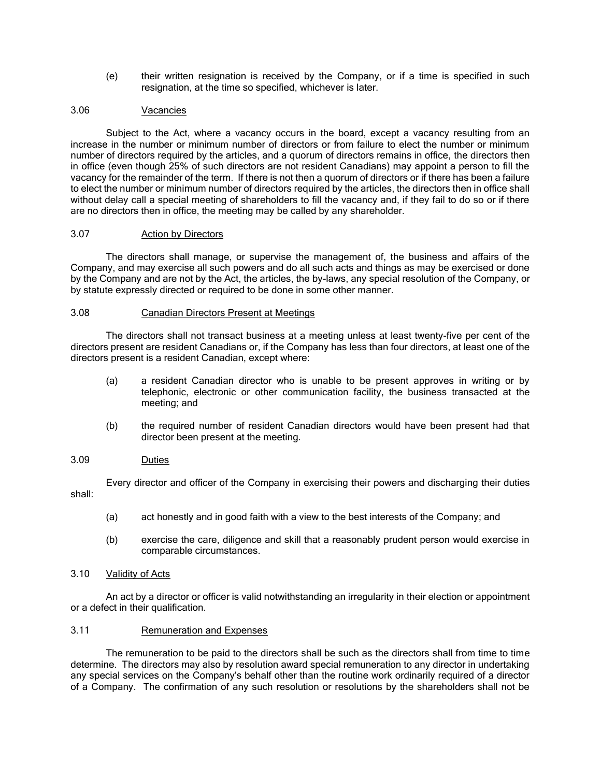(e) their written resignation is received by the Company, or if a time is specified in such resignation, at the time so specified, whichever is later.

# 3.06 Vacancies

Subject to the Act, where a vacancy occurs in the board, except a vacancy resulting from an increase in the number or minimum number of directors or from failure to elect the number or minimum number of directors required by the articles, and a quorum of directors remains in office, the directors then in office (even though 25% of such directors are not resident Canadians) may appoint a person to fill the vacancy for the remainder of the term. If there is not then a quorum of directors or if there has been a failure to elect the number or minimum number of directors required by the articles, the directors then in office shall without delay call a special meeting of shareholders to fill the vacancy and, if they fail to do so or if there are no directors then in office, the meeting may be called by any shareholder.

### 3.07 Action by Directors

The directors shall manage, or supervise the management of, the business and affairs of the Company, and may exercise all such powers and do all such acts and things as may be exercised or done by the Company and are not by the Act, the articles, the by-laws, any special resolution of the Company, or by statute expressly directed or required to be done in some other manner.

### <span id="page-4-0"></span>3.08 Canadian Directors Present at Meetings

The directors shall not transact business at a meeting unless at least twenty-five per cent of the directors present are resident Canadians or, if the Company has less than four directors, at least one of the directors present is a resident Canadian, except where:

- (a) a resident Canadian director who is unable to be present approves in writing or by telephonic, electronic or other communication facility, the business transacted at the meeting; and
- (b) the required number of resident Canadian directors would have been present had that director been present at the meeting.

#### 3.09 Duties

Every director and officer of the Company in exercising their powers and discharging their duties shall:

- (a) act honestly and in good faith with a view to the best interests of the Company; and
- (b) exercise the care, diligence and skill that a reasonably prudent person would exercise in comparable circumstances.

## 3.10 Validity of Acts

An act by a director or officer is valid notwithstanding an irregularity in their election or appointment or a defect in their qualification.

## 3.11 Remuneration and Expenses

The remuneration to be paid to the directors shall be such as the directors shall from time to time determine. The directors may also by resolution award special remuneration to any director in undertaking any special services on the Company's behalf other than the routine work ordinarily required of a director of a Company. The confirmation of any such resolution or resolutions by the shareholders shall not be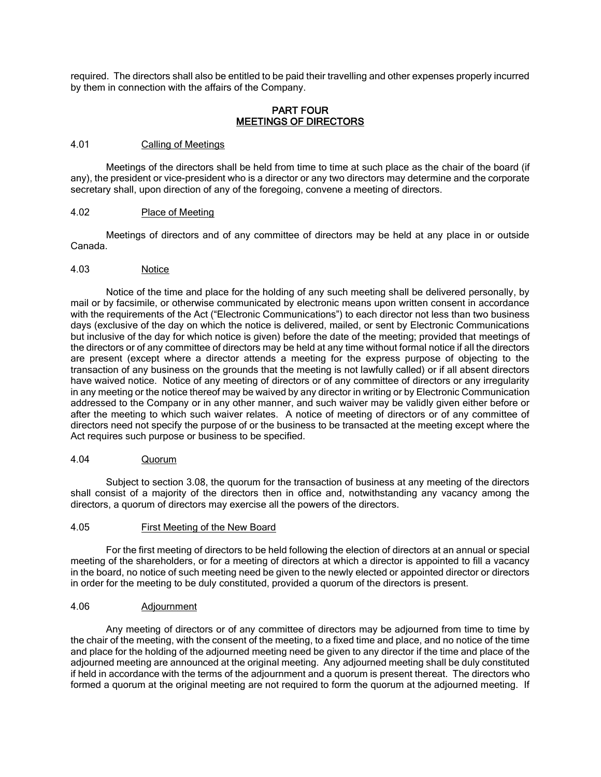required. The directors shall also be entitled to be paid their travelling and other expenses properly incurred by them in connection with the affairs of the Company.

### PART FOUR MEETINGS OF DIRECTORS

#### 4.01 Calling of Meetings

Meetings of the directors shall be held from time to time at such place as the chair of the board (if any), the president or vice-president who is a director or any two directors may determine and the corporate secretary shall, upon direction of any of the foregoing, convene a meeting of directors.

#### 4.02 Place of Meeting

Meetings of directors and of any committee of directors may be held at any place in or outside Canada.

#### 4.03 Notice

Notice of the time and place for the holding of any such meeting shall be delivered personally, by mail or by facsimile, or otherwise communicated by electronic means upon written consent in accordance with the requirements of the Act ("Electronic Communications") to each director not less than two business days (exclusive of the day on which the notice is delivered, mailed, or sent by Electronic Communications but inclusive of the day for which notice is given) before the date of the meeting; provided that meetings of the directors or of any committee of directors may be held at any time without formal notice if all the directors are present (except where a director attends a meeting for the express purpose of objecting to the transaction of any business on the grounds that the meeting is not lawfully called) or if all absent directors have waived notice. Notice of any meeting of directors or of any committee of directors or any irregularity in any meeting or the notice thereof may be waived by any director in writing or by Electronic Communication addressed to the Company or in any other manner, and such waiver may be validly given either before or after the meeting to which such waiver relates. A notice of meeting of directors or of any committee of directors need not specify the purpose of or the business to be transacted at the meeting except where the Act requires such purpose or business to be specified.

#### 4.04 Quorum

Subject to section [3.08,](#page-4-0) the quorum for the transaction of business at any meeting of the directors shall consist of a majority of the directors then in office and, notwithstanding any vacancy among the directors, a quorum of directors may exercise all the powers of the directors.

#### 4.05 First Meeting of the New Board

For the first meeting of directors to be held following the election of directors at an annual or special meeting of the shareholders, or for a meeting of directors at which a director is appointed to fill a vacancy in the board, no notice of such meeting need be given to the newly elected or appointed director or directors in order for the meeting to be duly constituted, provided a quorum of the directors is present.

#### 4.06 Adjournment

Any meeting of directors or of any committee of directors may be adjourned from time to time by the chair of the meeting, with the consent of the meeting, to a fixed time and place, and no notice of the time and place for the holding of the adjourned meeting need be given to any director if the time and place of the adjourned meeting are announced at the original meeting. Any adjourned meeting shall be duly constituted if held in accordance with the terms of the adjournment and a quorum is present thereat. The directors who formed a quorum at the original meeting are not required to form the quorum at the adjourned meeting. If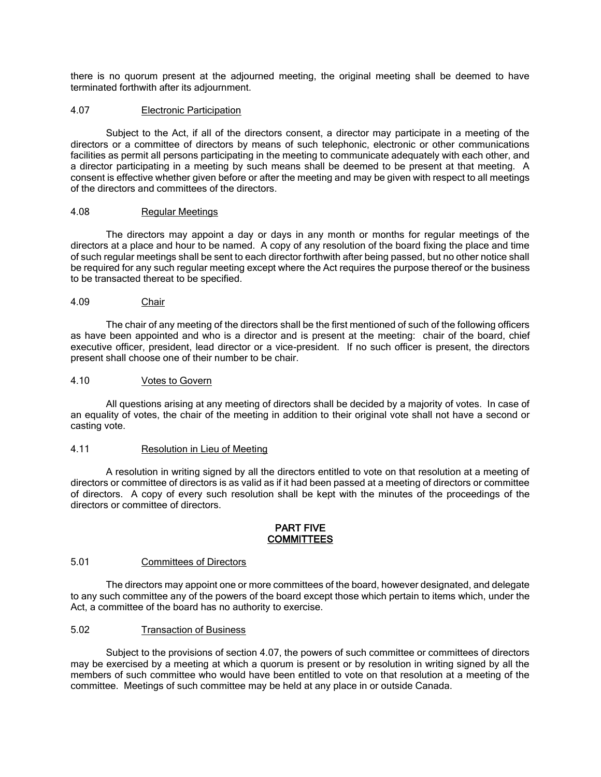there is no quorum present at the adjourned meeting, the original meeting shall be deemed to have terminated forthwith after its adjournment.

### <span id="page-6-0"></span>4.07 Electronic Participation

Subject to the Act, if all of the directors consent, a director may participate in a meeting of the directors or a committee of directors by means of such telephonic, electronic or other communications facilities as permit all persons participating in the meeting to communicate adequately with each other, and a director participating in a meeting by such means shall be deemed to be present at that meeting. A consent is effective whether given before or after the meeting and may be given with respect to all meetings of the directors and committees of the directors.

## 4.08 Regular Meetings

The directors may appoint a day or days in any month or months for regular meetings of the directors at a place and hour to be named. A copy of any resolution of the board fixing the place and time of such regular meetings shall be sent to each director forthwith after being passed, but no other notice shall be required for any such regular meeting except where the Act requires the purpose thereof or the business to be transacted thereat to be specified.

#### 4.09 Chair

The chair of any meeting of the directors shall be the first mentioned of such of the following officers as have been appointed and who is a director and is present at the meeting: chair of the board, chief executive officer, president, lead director or a vice-president. If no such officer is present, the directors present shall choose one of their number to be chair.

#### 4.10 Votes to Govern

All questions arising at any meeting of directors shall be decided by a majority of votes. In case of an equality of votes, the chair of the meeting in addition to their original vote shall not have a second or casting vote.

#### 4.11 Resolution in Lieu of Meeting

A resolution in writing signed by all the directors entitled to vote on that resolution at a meeting of directors or committee of directors is as valid as if it had been passed at a meeting of directors or committee of directors. A copy of every such resolution shall be kept with the minutes of the proceedings of the directors or committee of directors.

#### PART FIVE **COMMITTEES**

### 5.01 Committees of Directors

The directors may appoint one or more committees of the board, however designated, and delegate to any such committee any of the powers of the board except those which pertain to items which, under the Act, a committee of the board has no authority to exercise.

#### 5.02 Transaction of Business

Subject to the provisions of section [4.07,](#page-6-0) the powers of such committee or committees of directors may be exercised by a meeting at which a quorum is present or by resolution in writing signed by all the members of such committee who would have been entitled to vote on that resolution at a meeting of the committee. Meetings of such committee may be held at any place in or outside Canada.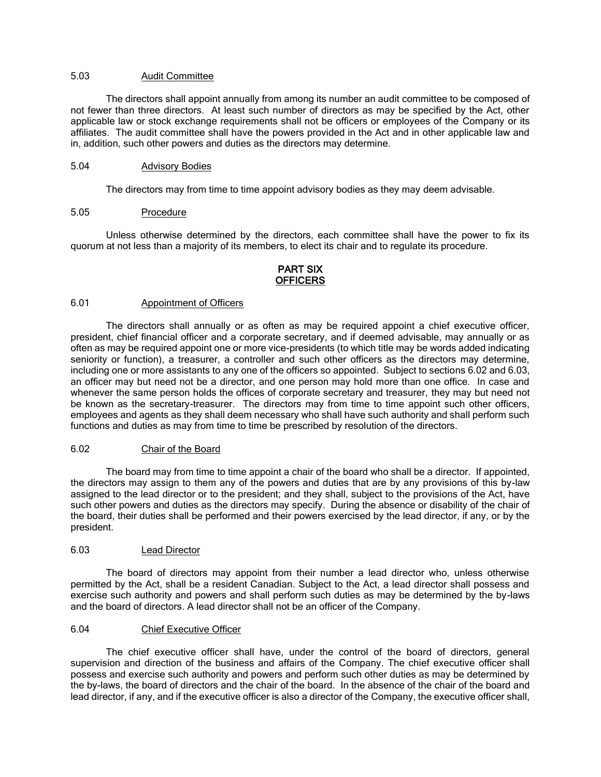### 5.03 Audit Committee

The directors shall appoint annually from among its number an audit committee to be composed of not fewer than three directors. At least such number of directors as may be specified by the Act, other applicable law or stock exchange requirements shall not be officers or employees of the Company or its affiliates. The audit committee shall have the powers provided in the Act and in other applicable law and in, addition, such other powers and duties as the directors may determine.

#### 5.04 Advisory Bodies

The directors may from time to time appoint advisory bodies as they may deem advisable.

## 5.05 Procedure

Unless otherwise determined by the directors, each committee shall have the power to fix its quorum at not less than a majority of its members, to elect its chair and to regulate its procedure.

# PART SIX OFFICERS

#### 6.01 Appointment of Officers

The directors shall annually or as often as may be required appoint a chief executive officer, president, chief financial officer and a corporate secretary, and if deemed advisable, may annually or as often as may be required appoint one or more vice-presidents (to which title may be words added indicating seniority or function), a treasurer, a controller and such other officers as the directors may determine, including one or more assistants to any one of the officers so appointed. Subject to sections [6.02](#page-7-0) and [6.03,](#page-7-1) an officer may but need not be a director, and one person may hold more than one office. In case and whenever the same person holds the offices of corporate secretary and treasurer, they may but need not be known as the secretary-treasurer. The directors may from time to time appoint such other officers, employees and agents as they shall deem necessary who shall have such authority and shall perform such functions and duties as may from time to time be prescribed by resolution of the directors.

#### <span id="page-7-0"></span>6.02 Chair of the Board

The board may from time to time appoint a chair of the board who shall be a director. If appointed, the directors may assign to them any of the powers and duties that are by any provisions of this by-law assigned to the lead director or to the president; and they shall, subject to the provisions of the Act, have such other powers and duties as the directors may specify. During the absence or disability of the chair of the board, their duties shall be performed and their powers exercised by the lead director, if any, or by the president.

## <span id="page-7-1"></span>6.03 Lead Director

The board of directors may appoint from their number a lead director who, unless otherwise permitted by the Act, shall be a resident Canadian. Subject to the Act, a lead director shall possess and exercise such authority and powers and shall perform such duties as may be determined by the by-laws and the board of directors. A lead director shall not be an officer of the Company.

#### 6.04 Chief Executive Officer

The chief executive officer shall have, under the control of the board of directors, general supervision and direction of the business and affairs of the Company. The chief executive officer shall possess and exercise such authority and powers and perform such other duties as may be determined by the by-laws, the board of directors and the chair of the board. In the absence of the chair of the board and lead director, if any, and if the executive officer is also a director of the Company, the executive officer shall,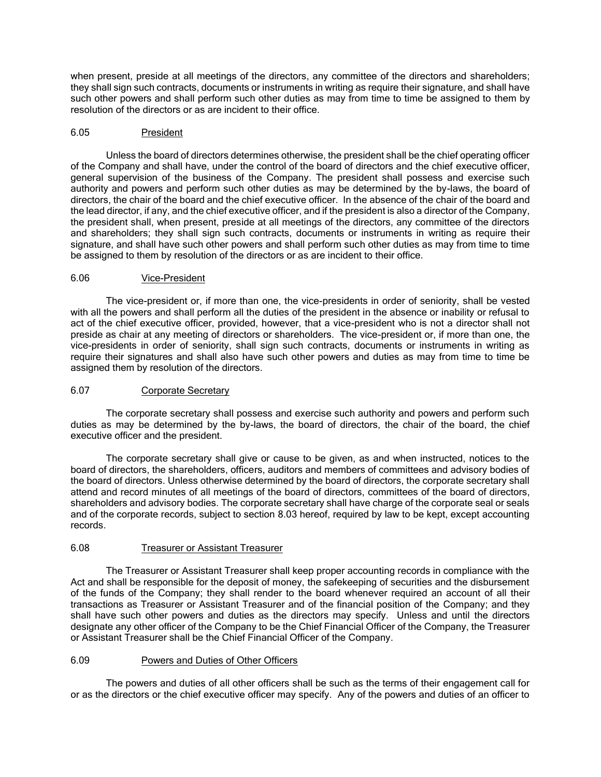when present, preside at all meetings of the directors, any committee of the directors and shareholders; they shall sign such contracts, documents or instruments in writing as require their signature, and shall have such other powers and shall perform such other duties as may from time to time be assigned to them by resolution of the directors or as are incident to their office.

#### 6.05 President

Unless the board of directors determines otherwise, the president shall be the chief operating officer of the Company and shall have, under the control of the board of directors and the chief executive officer, general supervision of the business of the Company. The president shall possess and exercise such authority and powers and perform such other duties as may be determined by the by-laws, the board of directors, the chair of the board and the chief executive officer. In the absence of the chair of the board and the lead director, if any, and the chief executive officer, and if the president is also a director of the Company, the president shall, when present, preside at all meetings of the directors, any committee of the directors and shareholders; they shall sign such contracts, documents or instruments in writing as require their signature, and shall have such other powers and shall perform such other duties as may from time to time be assigned to them by resolution of the directors or as are incident to their office.

### 6.06 Vice-President

The vice-president or, if more than one, the vice-presidents in order of seniority, shall be vested with all the powers and shall perform all the duties of the president in the absence or inability or refusal to act of the chief executive officer, provided, however, that a vice-president who is not a director shall not preside as chair at any meeting of directors or shareholders. The vice-president or, if more than one, the vice-presidents in order of seniority, shall sign such contracts, documents or instruments in writing as require their signatures and shall also have such other powers and duties as may from time to time be assigned them by resolution of the directors.

#### 6.07 Corporate Secretary

The corporate secretary shall possess and exercise such authority and powers and perform such duties as may be determined by the by-laws, the board of directors, the chair of the board, the chief executive officer and the president.

The corporate secretary shall give or cause to be given, as and when instructed, notices to the board of directors, the shareholders, officers, auditors and members of committees and advisory bodies of the board of directors. Unless otherwise determined by the board of directors, the corporate secretary shall attend and record minutes of all meetings of the board of directors, committees of the board of directors, shareholders and advisory bodies. The corporate secretary shall have charge of the corporate seal or seals and of the corporate records, subject to section [8.03](#page-11-0) hereof, required by law to be kept, except accounting records.

#### 6.08 Treasurer or Assistant Treasurer

The Treasurer or Assistant Treasurer shall keep proper accounting records in compliance with the Act and shall be responsible for the deposit of money, the safekeeping of securities and the disbursement of the funds of the Company; they shall render to the board whenever required an account of all their transactions as Treasurer or Assistant Treasurer and of the financial position of the Company; and they shall have such other powers and duties as the directors may specify. Unless and until the directors designate any other officer of the Company to be the Chief Financial Officer of the Company, the Treasurer or Assistant Treasurer shall be the Chief Financial Officer of the Company.

#### 6.09 Powers and Duties of Other Officers

The powers and duties of all other officers shall be such as the terms of their engagement call for or as the directors or the chief executive officer may specify. Any of the powers and duties of an officer to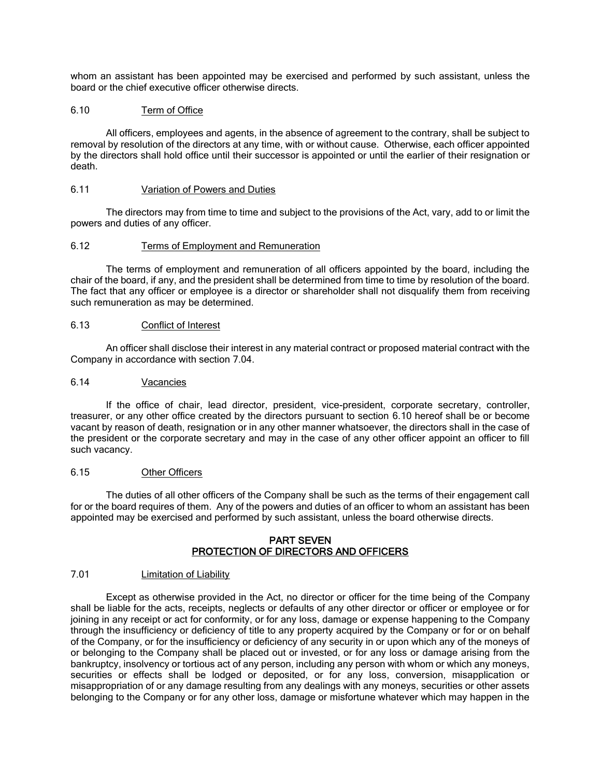whom an assistant has been appointed may be exercised and performed by such assistant, unless the board or the chief executive officer otherwise directs.

#### <span id="page-9-0"></span>6.10 Term of Office

All officers, employees and agents, in the absence of agreement to the contrary, shall be subject to removal by resolution of the directors at any time, with or without cause. Otherwise, each officer appointed by the directors shall hold office until their successor is appointed or until the earlier of their resignation or death.

#### 6.11 Variation of Powers and Duties

The directors may from time to time and subject to the provisions of the Act, vary, add to or limit the powers and duties of any officer.

#### 6.12 Terms of Employment and Remuneration

The terms of employment and remuneration of all officers appointed by the board, including the chair of the board, if any, and the president shall be determined from time to time by resolution of the board. The fact that any officer or employee is a director or shareholder shall not disqualify them from receiving such remuneration as may be determined.

#### 6.13 Conflict of Interest

An officer shall disclose their interest in any material contract or proposed material contract with the Company in accordance with section [7.04.](#page-11-1)

#### 6.14 Vacancies

If the office of chair, lead director, president, vice-president, corporate secretary, controller, treasurer, or any other office created by the directors pursuant to section [6.10](#page-9-0) hereof shall be or become vacant by reason of death, resignation or in any other manner whatsoever, the directors shall in the case of the president or the corporate secretary and may in the case of any other officer appoint an officer to fill such vacancy.

#### 6.15 Other Officers

The duties of all other officers of the Company shall be such as the terms of their engagement call for or the board requires of them. Any of the powers and duties of an officer to whom an assistant has been appointed may be exercised and performed by such assistant, unless the board otherwise directs.

#### PART SEVEN PROTECTION OF DIRECTORS AND OFFICERS

## 7.01 Limitation of Liability

Except as otherwise provided in the Act, no director or officer for the time being of the Company shall be liable for the acts, receipts, neglects or defaults of any other director or officer or employee or for joining in any receipt or act for conformity, or for any loss, damage or expense happening to the Company through the insufficiency or deficiency of title to any property acquired by the Company or for or on behalf of the Company, or for the insufficiency or deficiency of any security in or upon which any of the moneys of or belonging to the Company shall be placed out or invested, or for any loss or damage arising from the bankruptcy, insolvency or tortious act of any person, including any person with whom or which any moneys, securities or effects shall be lodged or deposited, or for any loss, conversion, misapplication or misappropriation of or any damage resulting from any dealings with any moneys, securities or other assets belonging to the Company or for any other loss, damage or misfortune whatever which may happen in the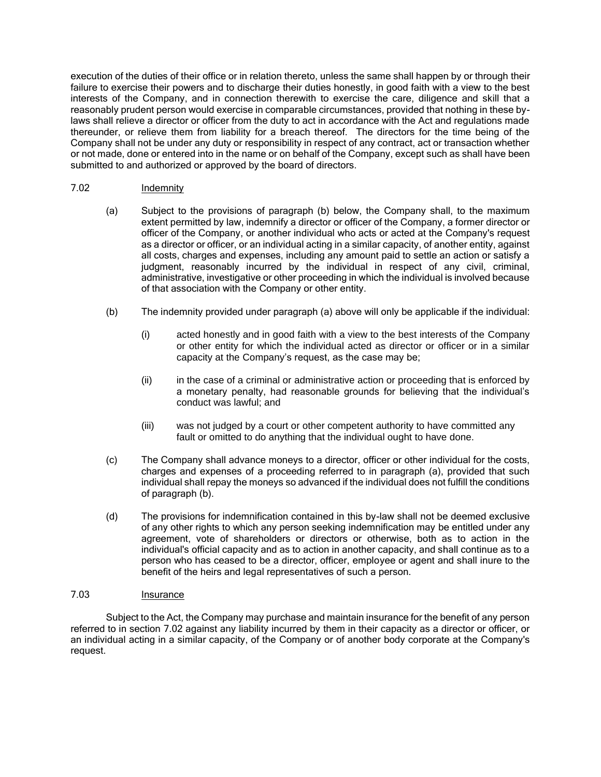execution of the duties of their office or in relation thereto, unless the same shall happen by or through their failure to exercise their powers and to discharge their duties honestly, in good faith with a view to the best interests of the Company, and in connection therewith to exercise the care, diligence and skill that a reasonably prudent person would exercise in comparable circumstances, provided that nothing in these bylaws shall relieve a director or officer from the duty to act in accordance with the Act and regulations made thereunder, or relieve them from liability for a breach thereof. The directors for the time being of the Company shall not be under any duty or responsibility in respect of any contract, act or transaction whether or not made, done or entered into in the name or on behalf of the Company, except such as shall have been submitted to and authorized or approved by the board of directors.

#### <span id="page-10-0"></span>7.02 Indemnity

- (a) Subject to the provisions of paragraph (b) below, the Company shall, to the maximum extent permitted by law, indemnify a director or officer of the Company, a former director or officer of the Company, or another individual who acts or acted at the Company's request as a director or officer, or an individual acting in a similar capacity, of another entity, against all costs, charges and expenses, including any amount paid to settle an action or satisfy a judgment, reasonably incurred by the individual in respect of any civil, criminal, administrative, investigative or other proceeding in which the individual is involved because of that association with the Company or other entity.
- (b) The indemnity provided under paragraph (a) above will only be applicable if the individual:
	- (i) acted honestly and in good faith with a view to the best interests of the Company or other entity for which the individual acted as director or officer or in a similar capacity at the Company's request, as the case may be;
	- (ii) in the case of a criminal or administrative action or proceeding that is enforced by a monetary penalty, had reasonable grounds for believing that the individual's conduct was lawful; and
	- (iii) was not judged by a court or other competent authority to have committed any fault or omitted to do anything that the individual ought to have done.
- (c) The Company shall advance moneys to a director, officer or other individual for the costs, charges and expenses of a proceeding referred to in paragraph (a), provided that such individual shall repay the moneys so advanced if the individual does not fulfill the conditions of paragraph (b).
- (d) The provisions for indemnification contained in this by-law shall not be deemed exclusive of any other rights to which any person seeking indemnification may be entitled under any agreement, vote of shareholders or directors or otherwise, both as to action in the individual's official capacity and as to action in another capacity, and shall continue as to a person who has ceased to be a director, officer, employee or agent and shall inure to the benefit of the heirs and legal representatives of such a person.

## 7.03 Insurance

Subject to the Act, the Company may purchase and maintain insurance for the benefit of any person referred to in section [7.02](#page-10-0) against any liability incurred by them in their capacity as a director or officer, or an individual acting in a similar capacity, of the Company or of another body corporate at the Company's request.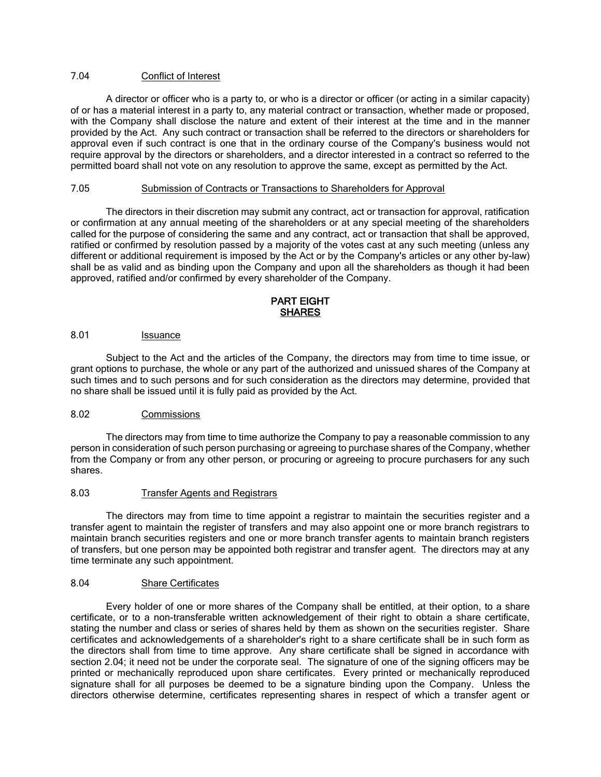## <span id="page-11-1"></span>7.04 Conflict of Interest

A director or officer who is a party to, or who is a director or officer (or acting in a similar capacity) of or has a material interest in a party to, any material contract or transaction, whether made or proposed, with the Company shall disclose the nature and extent of their interest at the time and in the manner provided by the Act. Any such contract or transaction shall be referred to the directors or shareholders for approval even if such contract is one that in the ordinary course of the Company's business would not require approval by the directors or shareholders, and a director interested in a contract so referred to the permitted board shall not vote on any resolution to approve the same, except as permitted by the Act.

## 7.05 Submission of Contracts or Transactions to Shareholders for Approval

The directors in their discretion may submit any contract, act or transaction for approval, ratification or confirmation at any annual meeting of the shareholders or at any special meeting of the shareholders called for the purpose of considering the same and any contract, act or transaction that shall be approved, ratified or confirmed by resolution passed by a majority of the votes cast at any such meeting (unless any different or additional requirement is imposed by the Act or by the Company's articles or any other by-law) shall be as valid and as binding upon the Company and upon all the shareholders as though it had been approved, ratified and/or confirmed by every shareholder of the Company.

## PART EIGHT **SHARES**

### 8.01 **Issuance**

Subject to the Act and the articles of the Company, the directors may from time to time issue, or grant options to purchase, the whole or any part of the authorized and unissued shares of the Company at such times and to such persons and for such consideration as the directors may determine, provided that no share shall be issued until it is fully paid as provided by the Act.

#### 8.02 Commissions

The directors may from time to time authorize the Company to pay a reasonable commission to any person in consideration of such person purchasing or agreeing to purchase shares of the Company, whether from the Company or from any other person, or procuring or agreeing to procure purchasers for any such shares.

#### <span id="page-11-0"></span>8.03 Transfer Agents and Registrars

The directors may from time to time appoint a registrar to maintain the securities register and a transfer agent to maintain the register of transfers and may also appoint one or more branch registrars to maintain branch securities registers and one or more branch transfer agents to maintain branch registers of transfers, but one person may be appointed both registrar and transfer agent. The directors may at any time terminate any such appointment.

#### 8.04 Share Certificates

Every holder of one or more shares of the Company shall be entitled, at their option, to a share certificate, or to a non-transferable written acknowledgement of their right to obtain a share certificate, stating the number and class or series of shares held by them as shown on the securities register. Share certificates and acknowledgements of a shareholder's right to a share certificate shall be in such form as the directors shall from time to time approve. Any share certificate shall be signed in accordance with section [2.04;](#page-1-0) it need not be under the corporate seal. The signature of one of the signing officers may be printed or mechanically reproduced upon share certificates. Every printed or mechanically reproduced signature shall for all purposes be deemed to be a signature binding upon the Company. Unless the directors otherwise determine, certificates representing shares in respect of which a transfer agent or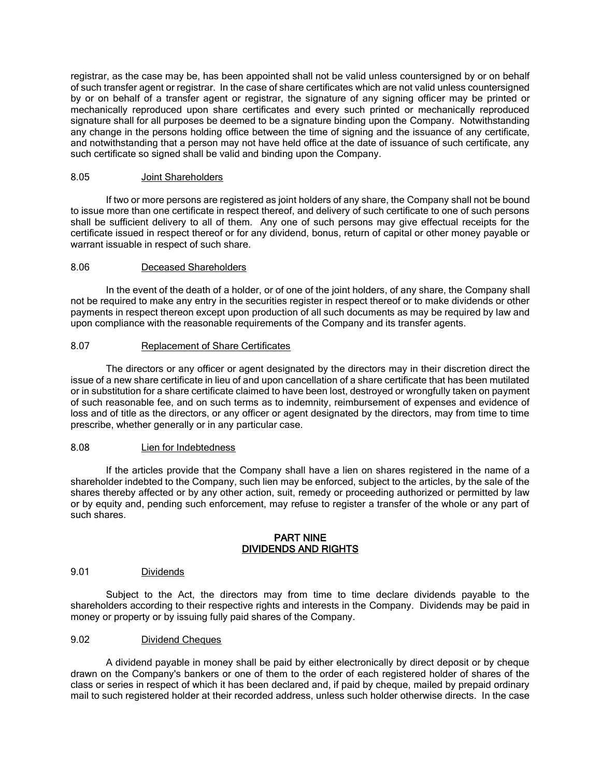registrar, as the case may be, has been appointed shall not be valid unless countersigned by or on behalf of such transfer agent or registrar. In the case of share certificates which are not valid unless countersigned by or on behalf of a transfer agent or registrar, the signature of any signing officer may be printed or mechanically reproduced upon share certificates and every such printed or mechanically reproduced signature shall for all purposes be deemed to be a signature binding upon the Company. Notwithstanding any change in the persons holding office between the time of signing and the issuance of any certificate, and notwithstanding that a person may not have held office at the date of issuance of such certificate, any such certificate so signed shall be valid and binding upon the Company.

### 8.05 Joint Shareholders

If two or more persons are registered as joint holders of any share, the Company shall not be bound to issue more than one certificate in respect thereof, and delivery of such certificate to one of such persons shall be sufficient delivery to all of them. Any one of such persons may give effectual receipts for the certificate issued in respect thereof or for any dividend, bonus, return of capital or other money payable or warrant issuable in respect of such share.

## 8.06 Deceased Shareholders

In the event of the death of a holder, or of one of the joint holders, of any share, the Company shall not be required to make any entry in the securities register in respect thereof or to make dividends or other payments in respect thereon except upon production of all such documents as may be required by law and upon compliance with the reasonable requirements of the Company and its transfer agents.

## 8.07 Replacement of Share Certificates

The directors or any officer or agent designated by the directors may in their discretion direct the issue of a new share certificate in lieu of and upon cancellation of a share certificate that has been mutilated or in substitution for a share certificate claimed to have been lost, destroyed or wrongfully taken on payment of such reasonable fee, and on such terms as to indemnity, reimbursement of expenses and evidence of loss and of title as the directors, or any officer or agent designated by the directors, may from time to time prescribe, whether generally or in any particular case.

#### 8.08 Lien for Indebtedness

If the articles provide that the Company shall have a lien on shares registered in the name of a shareholder indebted to the Company, such lien may be enforced, subject to the articles, by the sale of the shares thereby affected or by any other action, suit, remedy or proceeding authorized or permitted by law or by equity and, pending such enforcement, may refuse to register a transfer of the whole or any part of such shares.

#### PART NINE DIVIDENDS AND RIGHTS

#### 9.01 Dividends

Subject to the Act, the directors may from time to time declare dividends payable to the shareholders according to their respective rights and interests in the Company. Dividends may be paid in money or property or by issuing fully paid shares of the Company.

#### <span id="page-12-0"></span>9.02 Dividend Cheques

A dividend payable in money shall be paid by either electronically by direct deposit or by cheque drawn on the Company's bankers or one of them to the order of each registered holder of shares of the class or series in respect of which it has been declared and, if paid by cheque, mailed by prepaid ordinary mail to such registered holder at their recorded address, unless such holder otherwise directs. In the case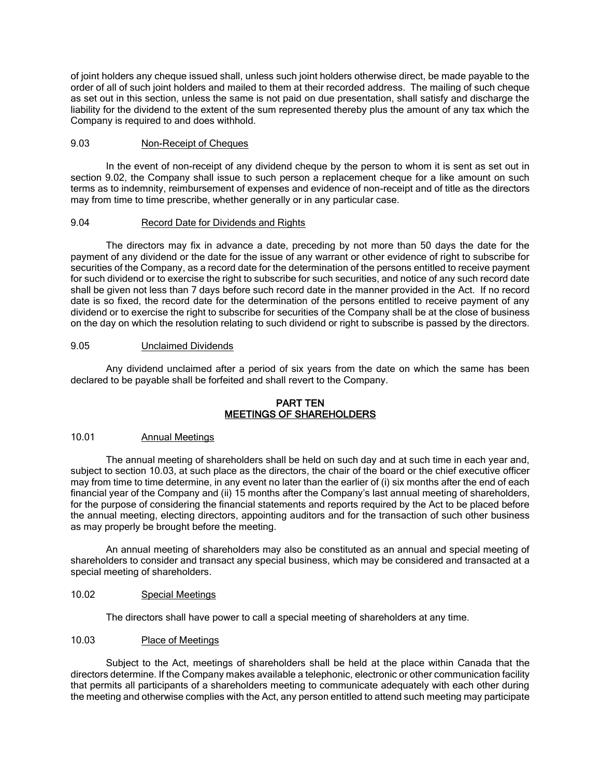of joint holders any cheque issued shall, unless such joint holders otherwise direct, be made payable to the order of all of such joint holders and mailed to them at their recorded address. The mailing of such cheque as set out in this section, unless the same is not paid on due presentation, shall satisfy and discharge the liability for the dividend to the extent of the sum represented thereby plus the amount of any tax which the Company is required to and does withhold.

## 9.03 Non-Receipt of Cheques

In the event of non-receipt of any dividend cheque by the person to whom it is sent as set out in section [9.02,](#page-12-0) the Company shall issue to such person a replacement cheque for a like amount on such terms as to indemnity, reimbursement of expenses and evidence of non-receipt and of title as the directors may from time to time prescribe, whether generally or in any particular case.

### 9.04 Record Date for Dividends and Rights

The directors may fix in advance a date, preceding by not more than 50 days the date for the payment of any dividend or the date for the issue of any warrant or other evidence of right to subscribe for securities of the Company, as a record date for the determination of the persons entitled to receive payment for such dividend or to exercise the right to subscribe for such securities, and notice of any such record date shall be given not less than 7 days before such record date in the manner provided in the Act. If no record date is so fixed, the record date for the determination of the persons entitled to receive payment of any dividend or to exercise the right to subscribe for securities of the Company shall be at the close of business on the day on which the resolution relating to such dividend or right to subscribe is passed by the directors.

### 9.05 Unclaimed Dividends

Any dividend unclaimed after a period of six years from the date on which the same has been declared to be payable shall be forfeited and shall revert to the Company.

### PART TEN MEETINGS OF SHAREHOLDERS

# 10.01 Annual Meetings

The annual meeting of shareholders shall be held on such day and at such time in each year and, subject to section [10.03,](#page-13-0) at such place as the directors, the chair of the board or the chief executive officer may from time to time determine, in any event no later than the earlier of (i) six months after the end of each financial year of the Company and (ii) 15 months after the Company's last annual meeting of shareholders, for the purpose of considering the financial statements and reports required by the Act to be placed before the annual meeting, electing directors, appointing auditors and for the transaction of such other business as may properly be brought before the meeting.

An annual meeting of shareholders may also be constituted as an annual and special meeting of shareholders to consider and transact any special business, which may be considered and transacted at a special meeting of shareholders.

# 10.02 Special Meetings

The directors shall have power to call a special meeting of shareholders at any time.

#### <span id="page-13-0"></span>10.03 Place of Meetings

Subject to the Act, meetings of shareholders shall be held at the place within Canada that the directors determine. If the Company makes available a telephonic, electronic or other communication facility that permits all participants of a shareholders meeting to communicate adequately with each other during the meeting and otherwise complies with the Act, any person entitled to attend such meeting may participate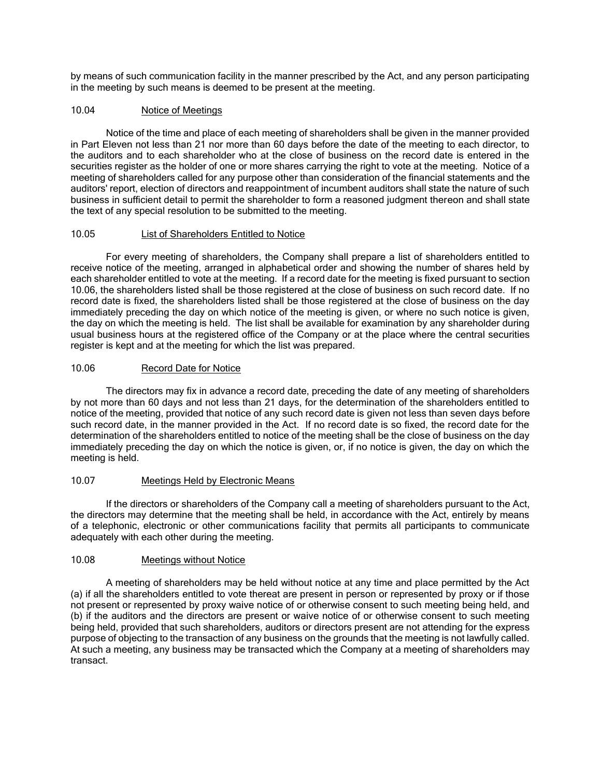by means of such communication facility in the manner prescribed by the Act, and any person participating in the meeting by such means is deemed to be present at the meeting.

## 10.04 Notice of Meetings

Notice of the time and place of each meeting of shareholders shall be given in the manner provided in Part Eleven not less than 21 nor more than 60 days before the date of the meeting to each director, to the auditors and to each shareholder who at the close of business on the record date is entered in the securities register as the holder of one or more shares carrying the right to vote at the meeting. Notice of a meeting of shareholders called for any purpose other than consideration of the financial statements and the auditors' report, election of directors and reappointment of incumbent auditors shall state the nature of such business in sufficient detail to permit the shareholder to form a reasoned judgment thereon and shall state the text of any special resolution to be submitted to the meeting.

#### 10.05 List of Shareholders Entitled to Notice

For every meeting of shareholders, the Company shall prepare a list of shareholders entitled to receive notice of the meeting, arranged in alphabetical order and showing the number of shares held by each shareholder entitled to vote at the meeting. If a record date for the meeting is fixed pursuant to section [10.06,](#page-14-0) the shareholders listed shall be those registered at the close of business on such record date. If no record date is fixed, the shareholders listed shall be those registered at the close of business on the day immediately preceding the day on which notice of the meeting is given, or where no such notice is given, the day on which the meeting is held. The list shall be available for examination by any shareholder during usual business hours at the registered office of the Company or at the place where the central securities register is kept and at the meeting for which the list was prepared.

### <span id="page-14-0"></span>10.06 Record Date for Notice

The directors may fix in advance a record date, preceding the date of any meeting of shareholders by not more than 60 days and not less than 21 days, for the determination of the shareholders entitled to notice of the meeting, provided that notice of any such record date is given not less than seven days before such record date, in the manner provided in the Act. If no record date is so fixed, the record date for the determination of the shareholders entitled to notice of the meeting shall be the close of business on the day immediately preceding the day on which the notice is given, or, if no notice is given, the day on which the meeting is held.

### 10.07 Meetings Held by Electronic Means

If the directors or shareholders of the Company call a meeting of shareholders pursuant to the Act, the directors may determine that the meeting shall be held, in accordance with the Act, entirely by means of a telephonic, electronic or other communications facility that permits all participants to communicate adequately with each other during the meeting.

#### 10.08 Meetings without Notice

A meeting of shareholders may be held without notice at any time and place permitted by the Act (a) if all the shareholders entitled to vote thereat are present in person or represented by proxy or if those not present or represented by proxy waive notice of or otherwise consent to such meeting being held, and (b) if the auditors and the directors are present or waive notice of or otherwise consent to such meeting being held, provided that such shareholders, auditors or directors present are not attending for the express purpose of objecting to the transaction of any business on the grounds that the meeting is not lawfully called. At such a meeting, any business may be transacted which the Company at a meeting of shareholders may transact.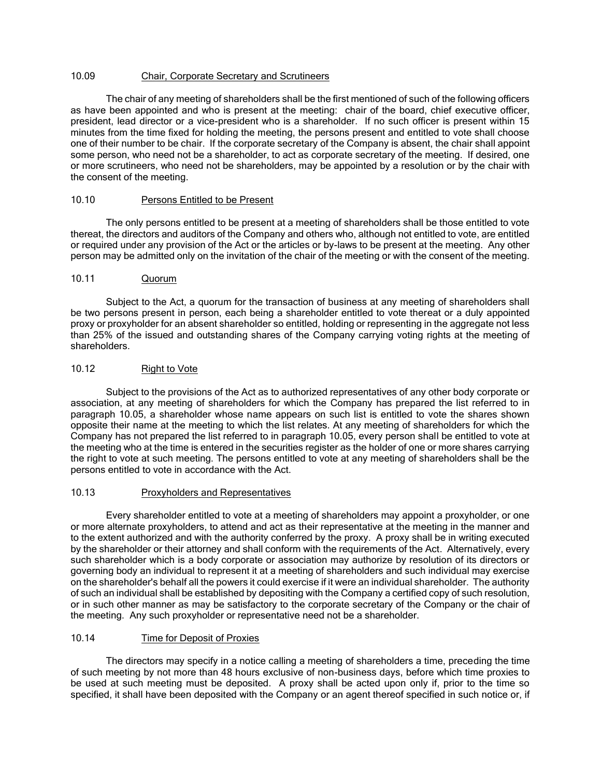## 10.09 Chair, Corporate Secretary and Scrutineers

The chair of any meeting of shareholders shall be the first mentioned of such of the following officers as have been appointed and who is present at the meeting: chair of the board, chief executive officer, president, lead director or a vice-president who is a shareholder. If no such officer is present within 15 minutes from the time fixed for holding the meeting, the persons present and entitled to vote shall choose one of their number to be chair. If the corporate secretary of the Company is absent, the chair shall appoint some person, who need not be a shareholder, to act as corporate secretary of the meeting. If desired, one or more scrutineers, who need not be shareholders, may be appointed by a resolution or by the chair with the consent of the meeting.

### 10.10 Persons Entitled to be Present

The only persons entitled to be present at a meeting of shareholders shall be those entitled to vote thereat, the directors and auditors of the Company and others who, although not entitled to vote, are entitled or required under any provision of the Act or the articles or by-laws to be present at the meeting. Any other person may be admitted only on the invitation of the chair of the meeting or with the consent of the meeting.

### 10.11 Quorum

Subject to the Act, a quorum for the transaction of business at any meeting of shareholders shall be two persons present in person, each being a shareholder entitled to vote thereat or a duly appointed proxy or proxyholder for an absent shareholder so entitled, holding or representing in the aggregate not less than 25% of the issued and outstanding shares of the Company carrying voting rights at the meeting of shareholders.

## 10.12 Right to Vote

Subject to the provisions of the Act as to authorized representatives of any other body corporate or association, at any meeting of shareholders for which the Company has prepared the list referred to in paragraph 10.05, a shareholder whose name appears on such list is entitled to vote the shares shown opposite their name at the meeting to which the list relates. At any meeting of shareholders for which the Company has not prepared the list referred to in paragraph 10.05, every person shall be entitled to vote at the meeting who at the time is entered in the securities register as the holder of one or more shares carrying the right to vote at such meeting. The persons entitled to vote at any meeting of shareholders shall be the persons entitled to vote in accordance with the Act.

#### 10.13 Proxyholders and Representatives

Every shareholder entitled to vote at a meeting of shareholders may appoint a proxyholder, or one or more alternate proxyholders, to attend and act as their representative at the meeting in the manner and to the extent authorized and with the authority conferred by the proxy. A proxy shall be in writing executed by the shareholder or their attorney and shall conform with the requirements of the Act. Alternatively, every such shareholder which is a body corporate or association may authorize by resolution of its directors or governing body an individual to represent it at a meeting of shareholders and such individual may exercise on the shareholder's behalf all the powers it could exercise if it were an individual shareholder. The authority of such an individual shall be established by depositing with the Company a certified copy of such resolution, or in such other manner as may be satisfactory to the corporate secretary of the Company or the chair of the meeting. Any such proxyholder or representative need not be a shareholder.

## 10.14 Time for Deposit of Proxies

The directors may specify in a notice calling a meeting of shareholders a time, preceding the time of such meeting by not more than 48 hours exclusive of non-business days, before which time proxies to be used at such meeting must be deposited. A proxy shall be acted upon only if, prior to the time so specified, it shall have been deposited with the Company or an agent thereof specified in such notice or, if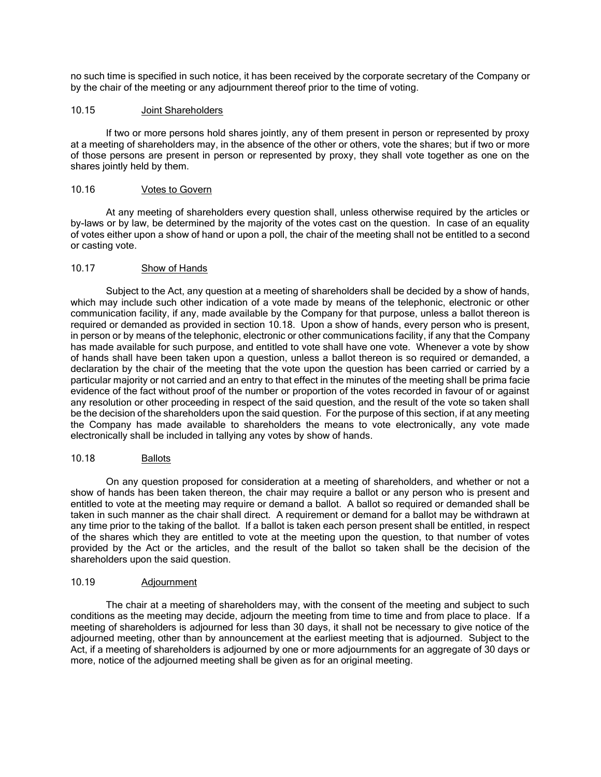no such time is specified in such notice, it has been received by the corporate secretary of the Company or by the chair of the meeting or any adjournment thereof prior to the time of voting.

## 10.15 Joint Shareholders

If two or more persons hold shares jointly, any of them present in person or represented by proxy at a meeting of shareholders may, in the absence of the other or others, vote the shares; but if two or more of those persons are present in person or represented by proxy, they shall vote together as one on the shares jointly held by them.

### 10.16 Votes to Govern

At any meeting of shareholders every question shall, unless otherwise required by the articles or by-laws or by law, be determined by the majority of the votes cast on the question. In case of an equality of votes either upon a show of hand or upon a poll, the chair of the meeting shall not be entitled to a second or casting vote.

### 10.17 Show of Hands

Subject to the Act, any question at a meeting of shareholders shall be decided by a show of hands, which may include such other indication of a vote made by means of the telephonic, electronic or other communication facility, if any, made available by the Company for that purpose, unless a ballot thereon is required or demanded as provided in section [10.18.](#page-16-0) Upon a show of hands, every person who is present, in person or by means of the telephonic, electronic or other communications facility, if any that the Company has made available for such purpose, and entitled to vote shall have one vote. Whenever a vote by show of hands shall have been taken upon a question, unless a ballot thereon is so required or demanded, a declaration by the chair of the meeting that the vote upon the question has been carried or carried by a particular majority or not carried and an entry to that effect in the minutes of the meeting shall be prima facie evidence of the fact without proof of the number or proportion of the votes recorded in favour of or against any resolution or other proceeding in respect of the said question, and the result of the vote so taken shall be the decision of the shareholders upon the said question. For the purpose of this section, if at any meeting the Company has made available to shareholders the means to vote electronically, any vote made electronically shall be included in tallying any votes by show of hands.

## <span id="page-16-0"></span>10.18 Ballots

On any question proposed for consideration at a meeting of shareholders, and whether or not a show of hands has been taken thereon, the chair may require a ballot or any person who is present and entitled to vote at the meeting may require or demand a ballot. A ballot so required or demanded shall be taken in such manner as the chair shall direct. A requirement or demand for a ballot may be withdrawn at any time prior to the taking of the ballot. If a ballot is taken each person present shall be entitled, in respect of the shares which they are entitled to vote at the meeting upon the question, to that number of votes provided by the Act or the articles, and the result of the ballot so taken shall be the decision of the shareholders upon the said question.

#### 10.19 Adjournment

The chair at a meeting of shareholders may, with the consent of the meeting and subject to such conditions as the meeting may decide, adjourn the meeting from time to time and from place to place. If a meeting of shareholders is adjourned for less than 30 days, it shall not be necessary to give notice of the adjourned meeting, other than by announcement at the earliest meeting that is adjourned. Subject to the Act, if a meeting of shareholders is adjourned by one or more adjournments for an aggregate of 30 days or more, notice of the adjourned meeting shall be given as for an original meeting.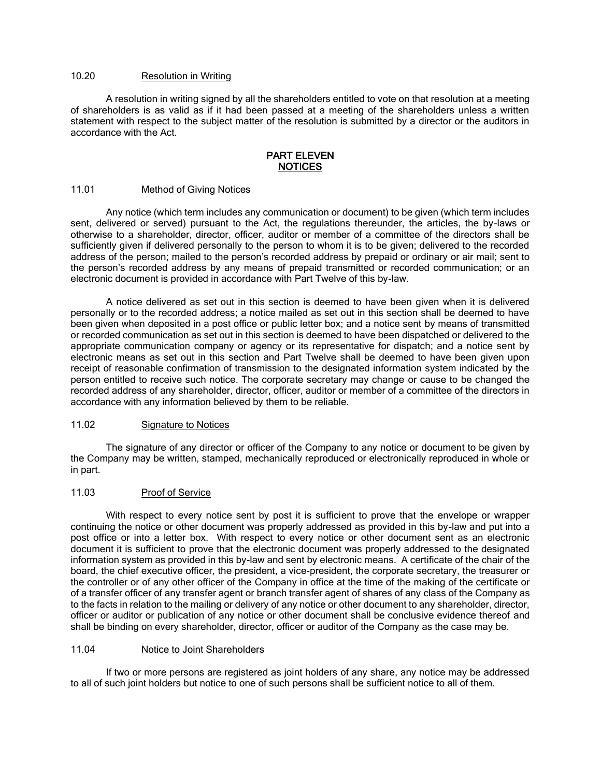# 10.20 Resolution in Writing

A resolution in writing signed by all the shareholders entitled to vote on that resolution at a meeting of shareholders is as valid as if it had been passed at a meeting of the shareholders unless a written statement with respect to the subject matter of the resolution is submitted by a director or the auditors in accordance with the Act.

#### PART ELEVEN NOTICES

#### <span id="page-17-0"></span>11.01 Method of Giving Notices

Any notice (which term includes any communication or document) to be given (which term includes sent, delivered or served) pursuant to the Act, the regulations thereunder, the articles, the by-laws or otherwise to a shareholder, director, officer, auditor or member of a committee of the directors shall be sufficiently given if delivered personally to the person to whom it is to be given; delivered to the recorded address of the person; mailed to the person's recorded address by prepaid or ordinary or air mail; sent to the person's recorded address by any means of prepaid transmitted or recorded communication; or an electronic document is provided in accordance with Part Twelve of this by-law.

A notice delivered as set out in this section is deemed to have been given when it is delivered personally or to the recorded address; a notice mailed as set out in this section shall be deemed to have been given when deposited in a post office or public letter box; and a notice sent by means of transmitted or recorded communication as set out in this section is deemed to have been dispatched or delivered to the appropriate communication company or agency or its representative for dispatch; and a notice sent by electronic means as set out in this section and Part Twelve shall be deemed to have been given upon receipt of reasonable confirmation of transmission to the designated information system indicated by the person entitled to receive such notice. The corporate secretary may change or cause to be changed the recorded address of any shareholder, director, officer, auditor or member of a committee of the directors in accordance with any information believed by them to be reliable.

#### 11.02 Signature to Notices

The signature of any director or officer of the Company to any notice or document to be given by the Company may be written, stamped, mechanically reproduced or electronically reproduced in whole or in part.

#### 11.03 Proof of Service

With respect to every notice sent by post it is sufficient to prove that the envelope or wrapper continuing the notice or other document was properly addressed as provided in this by-law and put into a post office or into a letter box. With respect to every notice or other document sent as an electronic document it is sufficient to prove that the electronic document was properly addressed to the designated information system as provided in this by-law and sent by electronic means. A certificate of the chair of the board, the chief executive officer, the president, a vice-president, the corporate secretary, the treasurer or the controller or of any other officer of the Company in office at the time of the making of the certificate or of a transfer officer of any transfer agent or branch transfer agent of shares of any class of the Company as to the facts in relation to the mailing or delivery of any notice or other document to any shareholder, director, officer or auditor or publication of any notice or other document shall be conclusive evidence thereof and shall be binding on every shareholder, director, officer or auditor of the Company as the case may be.

### 11.04 Notice to Joint Shareholders

If two or more persons are registered as joint holders of any share, any notice may be addressed to all of such joint holders but notice to one of such persons shall be sufficient notice to all of them.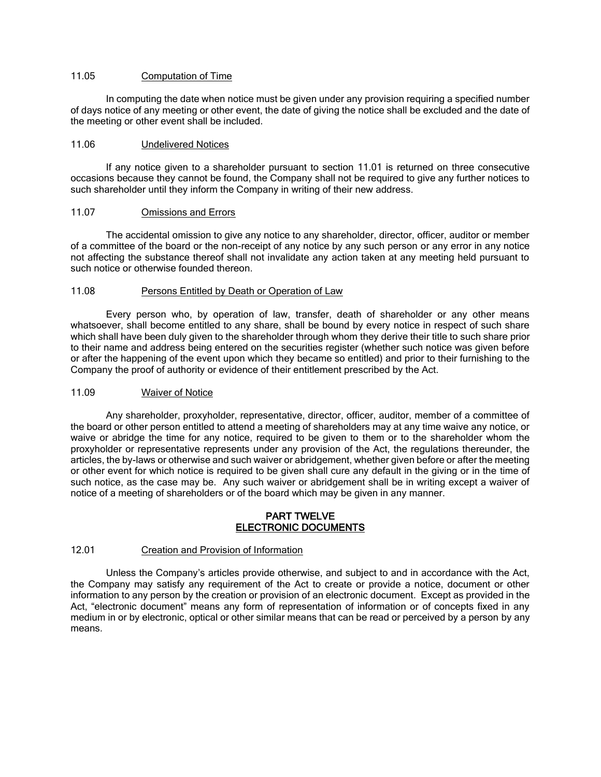### 11.05 Computation of Time

In computing the date when notice must be given under any provision requiring a specified number of days notice of any meeting or other event, the date of giving the notice shall be excluded and the date of the meeting or other event shall be included.

#### 11.06 Undelivered Notices

If any notice given to a shareholder pursuant to section [11.01](#page-17-0) is returned on three consecutive occasions because they cannot be found, the Company shall not be required to give any further notices to such shareholder until they inform the Company in writing of their new address.

#### 11.07 Omissions and Errors

The accidental omission to give any notice to any shareholder, director, officer, auditor or member of a committee of the board or the non-receipt of any notice by any such person or any error in any notice not affecting the substance thereof shall not invalidate any action taken at any meeting held pursuant to such notice or otherwise founded thereon.

#### 11.08 Persons Entitled by Death or Operation of Law

Every person who, by operation of law, transfer, death of shareholder or any other means whatsoever, shall become entitled to any share, shall be bound by every notice in respect of such share which shall have been duly given to the shareholder through whom they derive their title to such share prior to their name and address being entered on the securities register (whether such notice was given before or after the happening of the event upon which they became so entitled) and prior to their furnishing to the Company the proof of authority or evidence of their entitlement prescribed by the Act.

#### 11.09 Waiver of Notice

Any shareholder, proxyholder, representative, director, officer, auditor, member of a committee of the board or other person entitled to attend a meeting of shareholders may at any time waive any notice, or waive or abridge the time for any notice, required to be given to them or to the shareholder whom the proxyholder or representative represents under any provision of the Act, the regulations thereunder, the articles, the by-laws or otherwise and such waiver or abridgement, whether given before or after the meeting or other event for which notice is required to be given shall cure any default in the giving or in the time of such notice, as the case may be. Any such waiver or abridgement shall be in writing except a waiver of notice of a meeting of shareholders or of the board which may be given in any manner.

#### PART TWELVE ELECTRONIC DOCUMENTS

### 12.01 Creation and Provision of Information

Unless the Company's articles provide otherwise, and subject to and in accordance with the Act, the Company may satisfy any requirement of the Act to create or provide a notice, document or other information to any person by the creation or provision of an electronic document. Except as provided in the Act, "electronic document" means any form of representation of information or of concepts fixed in any medium in or by electronic, optical or other similar means that can be read or perceived by a person by any means.